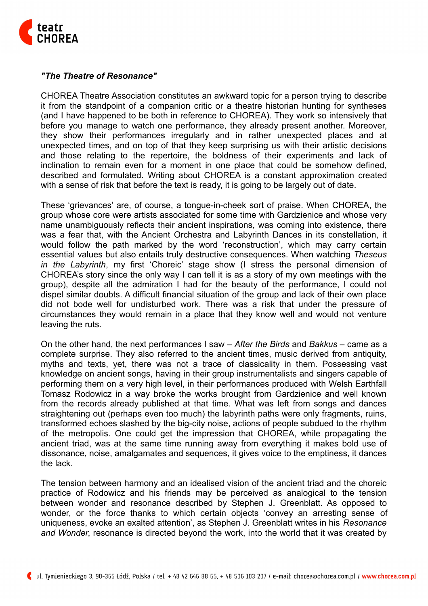

## *"The Theatre of Resonance"*

CHOREA Theatre Association constitutes an awkward topic for a person trying to describe it from the standpoint of a companion critic or a theatre historian hunting for syntheses (and I have happened to be both in reference to CHOREA). They work so intensively that before you manage to watch one performance, they already present another. Moreover, they show their performances irregularly and in rather unexpected places and at unexpected times, and on top of that they keep surprising us with their artistic decisions and those relating to the repertoire, the boldness of their experiments and lack of inclination to remain even for a moment in one place that could be somehow defined, described and formulated. Writing about CHOREA is a constant approximation created with a sense of risk that before the text is ready, it is going to be largely out of date.

These 'grievances' are, of course, a tongue-in-cheek sort of praise. When CHOREA, the group whose core were artists associated for some time with Gardzienice and whose very name unambiguously reflects their ancient inspirations, was coming into existence, there was a fear that, with the Ancient Orchestra and Labyrinth Dances in its constellation, it would follow the path marked by the word 'reconstruction', which may carry certain essential values but also entails truly destructive consequences. When watching *Theseus in the Labyrinth*, my first 'Choreic' stage show (I stress the personal dimension of CHOREA's story since the only way I can tell it is as a story of my own meetings with the group), despite all the admiration I had for the beauty of the performance, I could not dispel similar doubts. A difficult financial situation of the group and lack of their own place did not bode well for undisturbed work. There was a risk that under the pressure of circumstances they would remain in a place that they know well and would not venture leaving the ruts.

On the other hand, the next performances I saw – *After the Birds* and *Bakkus* – came as a complete surprise. They also referred to the ancient times, music derived from antiquity, myths and texts, yet, there was not a trace of classicality in them. Possessing vast knowledge on ancient songs, having in their group instrumentalists and singers capable of performing them on a very high level, in their performances produced with Welsh Earthfall Tomasz Rodowicz in a way broke the works brought from Gardzienice and well known from the records already published at that time. What was left from songs and dances straightening out (perhaps even too much) the labyrinth paths were only fragments, ruins, transformed echoes slashed by the big-city noise, actions of people subdued to the rhythm of the metropolis. One could get the impression that CHOREA, while propagating the ancient triad, was at the same time running away from everything it makes bold use of dissonance, noise, amalgamates and sequences, it gives voice to the emptiness, it dances the lack.

The tension between harmony and an idealised vision of the ancient triad and the choreic practice of Rodowicz and his friends may be perceived as analogical to the tension between wonder and resonance described by Stephen J. Greenblatt. As opposed to wonder, or the force thanks to which certain objects 'convey an arresting sense of uniqueness, evoke an exalted attention', as Stephen J. Greenblatt writes in his *Resonance and Wonder*, resonance is directed beyond the work, into the world that it was created by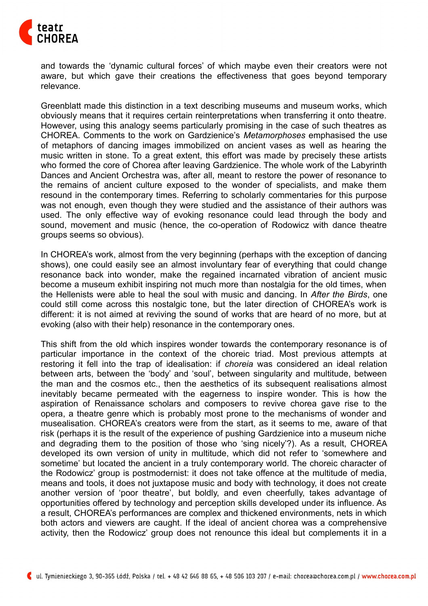

and towards the 'dynamic cultural forces' of which maybe even their creators were not aware, but which gave their creations the effectiveness that goes beyond temporary relevance.

Greenblatt made this distinction in a text describing museums and museum works, which obviously means that it requires certain reinterpretations when transferring it onto theatre. However, using this analogy seems particularly promising in the case of such theatres as CHOREA. Comments to the work on Gardzienice's *Metamorphoses* emphasised the use of metaphors of dancing images immobilized on ancient vases as well as hearing the music written in stone. To a great extent, this effort was made by precisely these artists who formed the core of Chorea after leaving Gardzienice. The whole work of the Labyrinth Dances and Ancient Orchestra was, after all, meant to restore the power of resonance to the remains of ancient culture exposed to the wonder of specialists, and make them resound in the contemporary times. Referring to scholarly commentaries for this purpose was not enough, even though they were studied and the assistance of their authors was used. The only effective way of evoking resonance could lead through the body and sound, movement and music (hence, the co-operation of Rodowicz with dance theatre groups seems so obvious).

In CHOREA's work, almost from the very beginning (perhaps with the exception of dancing shows), one could easily see an almost involuntary fear of everything that could change resonance back into wonder, make the regained incarnated vibration of ancient music become a museum exhibit inspiring not much more than nostalgia for the old times, when the Hellenists were able to heal the soul with music and dancing. In *After the Birds*, one could still come across this nostalgic tone, but the later direction of CHOREA's work is different: it is not aimed at reviving the sound of works that are heard of no more, but at evoking (also with their help) resonance in the contemporary ones.

This shift from the old which inspires wonder towards the contemporary resonance is of particular importance in the context of the choreic triad. Most previous attempts at restoring it fell into the trap of idealisation: if *choreia* was considered an ideal relation between arts, between the 'body' and 'soul', between singularity and multitude, between the man and the cosmos etc., then the aesthetics of its subsequent realisations almost inevitably became permeated with the eagerness to inspire wonder. This is how the aspiration of Renaissance scholars and composers to revive chorea gave rise to the opera, a theatre genre which is probably most prone to the mechanisms of wonder and musealisation. CHOREA's creators were from the start, as it seems to me, aware of that risk (perhaps it is the result of the experience of pushing Gardzienice into a museum niche and degrading them to the position of those who 'sing nicely'?). As a result, CHOREA developed its own version of unity in multitude, which did not refer to 'somewhere and sometime' but located the ancient in a truly contemporary world. The choreic character of the Rodowicz' group is postmodernist: it does not take offence at the multitude of media, means and tools, it does not juxtapose music and body with technology, it does not create another version of 'poor theatre', but boldly, and even cheerfully, takes advantage of opportunities offered by technology and perception skills developed under its influence. As a result, CHOREA's performances are complex and thickened environments, nets in which both actors and viewers are caught. If the ideal of ancient chorea was a comprehensive activity, then the Rodowicz' group does not renounce this ideal but complements it in a